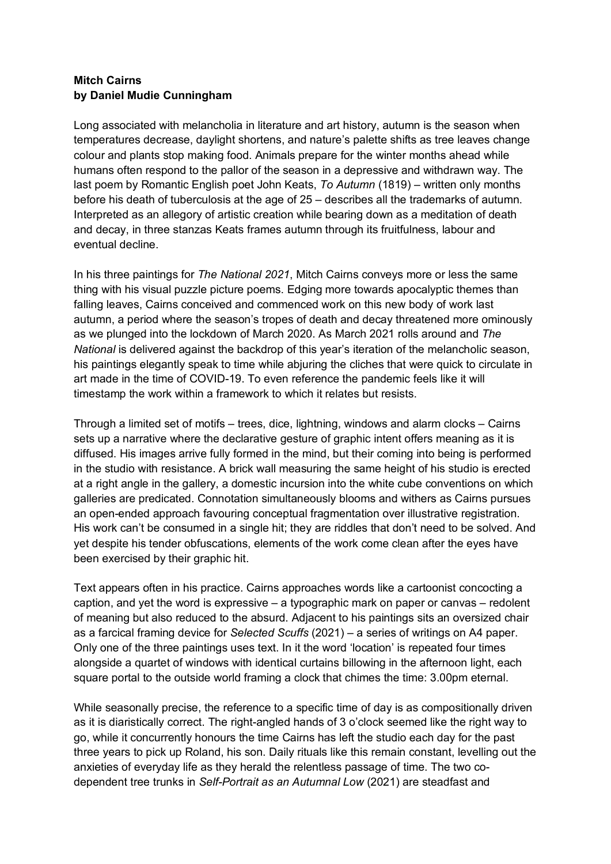## **Mitch Cairns by Daniel Mudie Cunningham**

Long associated with melancholia in literature and art history, autumn is the season when temperatures decrease, daylight shortens, and nature's palette shifts as tree leaves change colour and plants stop making food. Animals prepare for the winter months ahead while humans often respond to the pallor of the season in a depressive and withdrawn way. The last poem by Romantic English poet John Keats, *To Autumn* (1819) – written only months before his death of tuberculosis at the age of 25 – describes all the trademarks of autumn. Interpreted as an allegory of artistic creation while bearing down as a meditation of death and decay, in three stanzas Keats frames autumn through its fruitfulness, labour and eventual decline.

In his three paintings for *The National 2021*, Mitch Cairns conveys more or less the same thing with his visual puzzle picture poems. Edging more towards apocalyptic themes than falling leaves, Cairns conceived and commenced work on this new body of work last autumn, a period where the season's tropes of death and decay threatened more ominously as we plunged into the lockdown of March 2020. As March 2021 rolls around and *The National* is delivered against the backdrop of this year's iteration of the melancholic season, his paintings elegantly speak to time while abjuring the cliches that were quick to circulate in art made in the time of COVID-19. To even reference the pandemic feels like it will timestamp the work within a framework to which it relates but resists.

Through a limited set of motifs – trees, dice, lightning, windows and alarm clocks – Cairns sets up a narrative where the declarative gesture of graphic intent offers meaning as it is diffused. His images arrive fully formed in the mind, but their coming into being is performed in the studio with resistance. A brick wall measuring the same height of his studio is erected at a right angle in the gallery, a domestic incursion into the white cube conventions on which galleries are predicated. Connotation simultaneously blooms and withers as Cairns pursues an open-ended approach favouring conceptual fragmentation over illustrative registration. His work can't be consumed in a single hit; they are riddles that don't need to be solved. And yet despite his tender obfuscations, elements of the work come clean after the eyes have been exercised by their graphic hit.

Text appears often in his practice. Cairns approaches words like a cartoonist concocting a caption, and yet the word is expressive – a typographic mark on paper or canvas – redolent of meaning but also reduced to the absurd. Adjacent to his paintings sits an oversized chair as a farcical framing device for *Selected Scuffs* (2021) – a series of writings on A4 paper. Only one of the three paintings uses text. In it the word 'location' is repeated four times alongside a quartet of windows with identical curtains billowing in the afternoon light, each square portal to the outside world framing a clock that chimes the time: 3.00pm eternal.

While seasonally precise, the reference to a specific time of day is as compositionally driven as it is diaristically correct. The right-angled hands of 3 o'clock seemed like the right way to go, while it concurrently honours the time Cairns has left the studio each day for the past three years to pick up Roland, his son. Daily rituals like this remain constant, levelling out the anxieties of everyday life as they herald the relentless passage of time. The two codependent tree trunks in *Self-Portrait as an Autumnal Low* (2021) are steadfast and